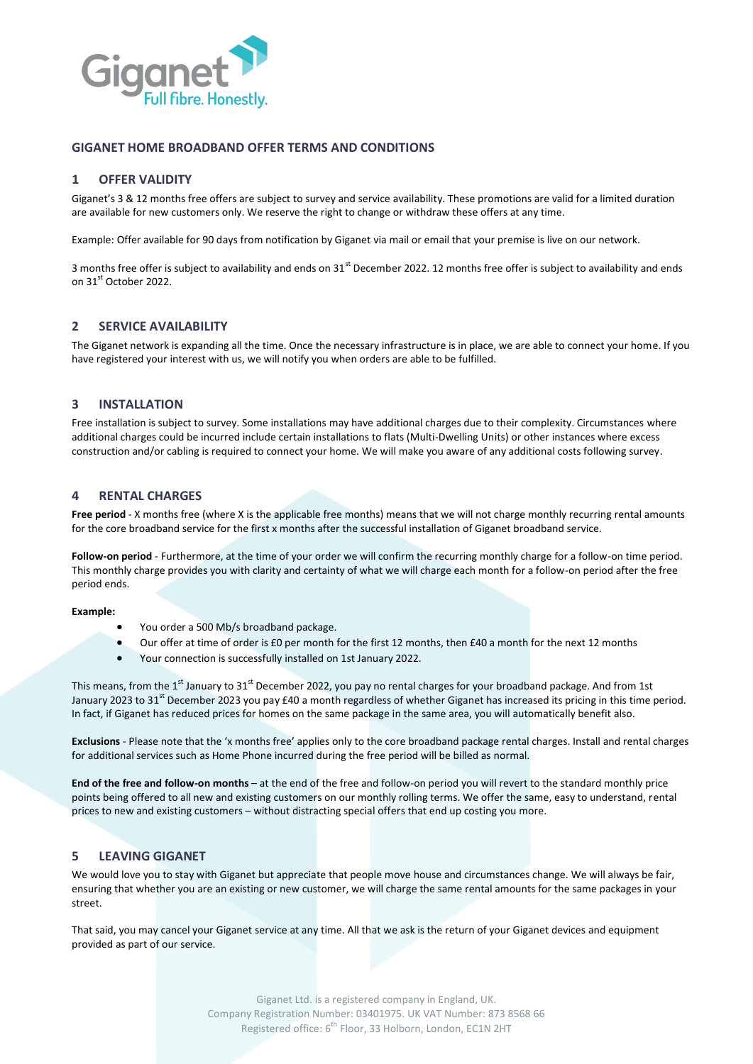

## **GIGANET HOME BROADBAND OFFER TERMS AND CONDITIONS**

# **1 OFFER VALIDITY**

Giganet's 3 & 12 months free offers are subject to survey and service availability. These promotions are valid for a limited duration are available for new customers only. We reserve the right to change or withdraw these offers at any time.

Example: Offer available for 90 days from notification by Giganet via mail or email that your premise is live on our network.

3 months free offer is subject to availability and ends on  $31<sup>st</sup>$  December 2022. 12 months free offer is subject to availability and ends on 31<sup>st</sup> October 2022.

### **2 SERVICE AVAILABILITY**

The Giganet network is expanding all the time. Once the necessary infrastructure is in place, we are able to connect your home. If you have registered your interest with us, we will notify you when orders are able to be fulfilled.

### **3 INSTALLATION**

Free installation is subject to survey. Some installations may have additional charges due to their complexity. Circumstances where additional charges could be incurred include certain installations to flats (Multi-Dwelling Units) or other instances where excess construction and/or cabling is required to connect your home. We will make you aware of any additional costs following survey.

#### **4 RENTAL CHARGES**

**Free period** - X months free (where X is the applicable free months) means that we will not charge monthly recurring rental amounts for the core broadband service for the first x months after the successful installation of Giganet broadband service.

**Follow-on period** - Furthermore, at the time of your order we will confirm the recurring monthly charge for a follow-on time period. This monthly charge provides you with clarity and certainty of what we will charge each month for a follow-on period after the free period ends.

#### **Example:**

- You order a 500 Mb/s broadband package.
- Our offer at time of order is £0 per month for the first 12 months, then £40 a month for the next 12 months
- Your connection is successfully installed on 1st January 2022.

This means, from the 1<sup>st</sup> January to 31<sup>st</sup> December 2022, you pay no rental charges for your broadband package. And from 1st January 2023 to 31<sup>st</sup> December 2023 you pay £40 a month regardless of whether Giganet has increased its pricing in this time period. In fact, if Giganet has reduced prices for homes on the same package in the same area, you will automatically benefit also.

**Exclusions** - Please note that the 'x months free' applies only to the core broadband package rental charges. Install and rental charges for additional services such as Home Phone incurred during the free period will be billed as normal.

**End of the free and follow-on months** – at the end of the free and follow-on period you will revert to the standard monthly price points being offered to all new and existing customers on our monthly rolling terms. We offer the same, easy to understand, rental prices to new and existing customers – without distracting special offers that end up costing you more.

### **5 LEAVING GIGANET**

We would love you to stay with Giganet but appreciate that people move house and circumstances change. We will always be fair, ensuring that whether you are an existing or new customer, we will charge the same rental amounts for the same packages in your street.

That said, you may cancel your Giganet service at any time. All that we ask is the return of your Giganet devices and equipment provided as part of our service.

> Giganet Ltd. is a registered company in England, UK. Company Registration Number: 03401975. UK VAT Number: 873 8568 66 Registered office: 6<sup>th</sup> Floor, 33 Holborn, London, EC1N 2HT